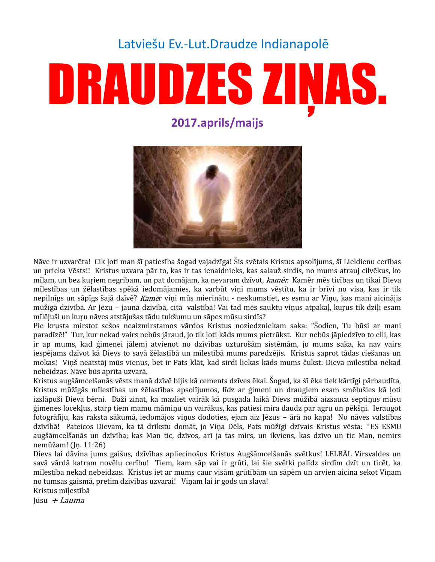# Latviešu Ev.-Lut. Draudze Indianapolē

# DRAUDZES ZINAS.

2017.aprils/maijs



Nāve ir uzvarēta! Cik ļoti man šī patiesība šogad vajadzīga! Šis svētais Kristus apsolījums, šī Lieldienu cerības un prieka Vēsts!! Kristus uzvara pār to, kas ir tas ienaidnieks, kas salauž sirdis, no mums atrauj cilvēkus, ko mīlam, un bez kuriem negribam, un pat domājam, ka nevaram dzīvot, kamēr. Kamēr mēs ticības un tikai Dieva mīlestības un žēlastības spēkā iedomājamies, ka varbūt viņi mums vēstītu, ka ir brīvi no visa, kas ir tik nepilnīgs un sāpīgs šajā dzīvē? Kamēr viņi mūs mierinātu - neskumstiet, es esmu ar Viņu, kas mani aicinājis mūžīgā dzīvībā. Ar Jēzu - jaunā dzīvībā, citā valstībā! Vai tad mēs sauktu viņus atpakaļ, kurus tik dziļi esam mīlējuši un kuru nāves atstājušas tādu tukšumu un sāpes mūsu sirdīs?

Pie krusta mirstot sešos neaizmirstamos vārdos Kristus noziedzniekam saka: "Šodien, Tu būsi ar mani paradīzē!" Tur, kur nekad vairs nebūs jāraud, jo tik ļoti kāds mums pietrūkst. Kur nebūs jāpiedzīvo to elli, kas ir ap mums, kad ģimenei jālemi atvienot no dzīvības uzturošām sistēmām, jo mums saka, ka nav vairs iespējams dzīvot kā Dievs to savā žēlastībā un mīlestībā mums paredzējis. Kristus saprot tādas ciešanas un mokas! Viņš neatstāj mūs vienus, bet ir Pats klāt, kad sirdī liekas kāds mums čukst: Dieva mīlestība nekad nebeidzas. Nāve būs aprīta uzvarā.

Kristus augšāmcelšanās vēsts manā dzīvē bijis kā cements dzīves ēkai. Šogad, ka šī ēka tiek kārtīgi pārbaudīta, Kristus mūžīgās mīlestības un žēlastības apsolījumos, līdz ar ģimeni un draugiem esam smēlušies kā ļoti izslāpuši Dieva bērni. Daži zinat, ka mazliet vairāk kā pusgada laikā Dievs mūžībā aizsauca septiņus mūsu ģimenes locekļus, starp tiem mamu māmiņu un vairākus, kas patiesi mira daudz par agru un pēkšņi. Ieraugot fotogrāfiju, kas raksta sākumā, iedomājos viņus dodoties, ejam aiz Jēzus - ārā no kapa! No nāves valstības dzīvībā! Pateicos Dievam, ka tā drīkstu domāt, jo Viņa Dēls, Pats mūžīgi dzīvais Kristus vēsta: "ES ESMU augšāmcelšanās un dzīvība; kas Man tic, dzīvos, arī ja tas mirs, un ikviens, kas dzīvo un tic Man, nemirs nemūžam! (Jn. 11:26)

Dievs lai dāvina jums gaišus, dzīvības apliecinošus Kristus Augšāmcelšanās svētkus! LELBĀL Virsvaldes un savā vārdā katram novēlu cerību! Tiem, kam sāp vai ir grūti, lai šie svētki palīdz sirdīm dzīt un ticēt, ka mīlestība nekad nebeidzas. Kristus iet ar mums caur visām grūtībām un sāpēm un arvien aicina sekot Viņam no tumsas gaismā, pretīm dzīvības uzvarai! Viņam lai ir gods un slava!

Kristus mīļestībā Jūsu  $+$  *Lauma*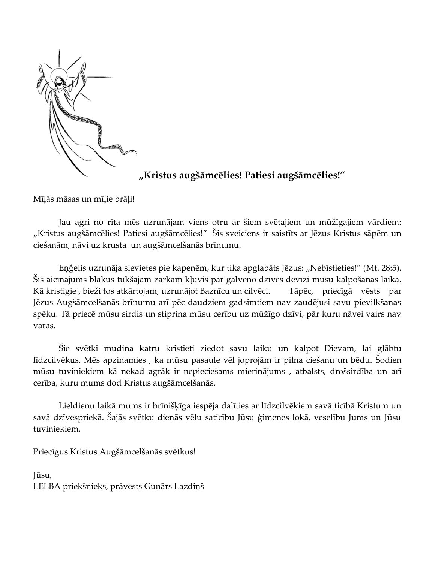

## "Kristus augšāmcēlies! Patiesi augšāmcēlies!"

Mīļās māsas un mīļie brāļi!

Jau agri no rīta mēs uzrunājam viens otru ar šiem svētajiem un mūžīgajiem vārdiem: "Kristus augšāmcēlies! Patiesi augšāmcēlies!" Šis sveiciens ir saistīts ar Jēzus Kristus sāpēm un ciešanām, nāvi uz krusta un augšāmcelšanās brīnumu.

Eņģelis uzrunāja sievietes pie kapenēm, kur tika apglabāts Jēzus: "Nebīstieties!" (Mt. 28:5). Šis aicinājums blakus tukšajam zārkam kļuvis par galveno dzīves devīzi mūsu kalpošanas laikā. Kā kristigie, bieži tos atkārtojam, uzrunājot Baznīcu un cilvēci. Tāpēc, priecīgā vēsts par Jēzus Augšāmcelšanās brīnumu arī pēc daudziem gadsimtiem nav zaudējusi savu pievilkšanas spēku. Tā priecē mūsu sirdis un stiprina mūsu cerību uz mūžīgo dzīvi, pār kuru nāvei vairs nav varas.

Šie svētki mudina katru kristieti ziedot savu laiku un kalpot Dievam, lai glābtu līdzcilvēkus. Mēs apzinamies, ka mūsu pasaule vēl joprojām ir pilna ciešanu un bēdu. Šodien mūsu tuviniekiem kā nekad agrāk ir nepieciešams mierinājums , atbalsts, drošsirdība un arī cerība, kuru mums dod Kristus augšāmcelšanās.

Lieldienu laikā mums ir brīnišķīga iespēja dalīties ar līdzcilvēkiem savā ticībā Kristum un savā dzīvespriekā. Šajās svētku dienās vēlu saticību Jūsu ģimenes lokā, veselību Jums un Jūsu tuviniekiem.

Priecīgus Kristus Augšāmcelšanās svētkus!

Jūsu, LELBA priekšnieks, prāvests Gunārs Lazdiņš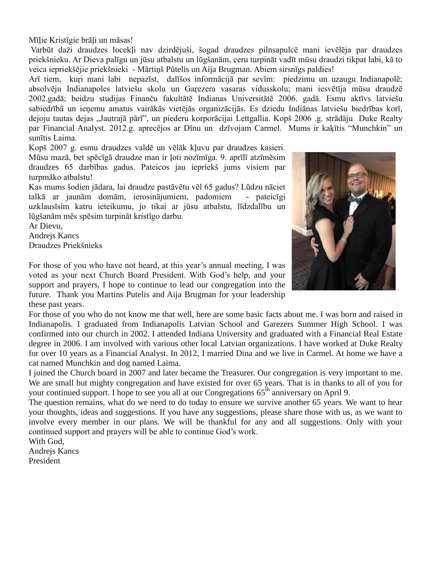Mīlie Kristīgie brāli un māsas!

Varbūt daži draudzes locekļi nav dzirdējuši, šogad draudzes pilnsapulcē mani ievēlēja par draudzes priekšnieku. Ar Dieva palīgu un jūsu atbalstu un lūgšanām, ceru turpināt vadīt mūsu draudzi tikpat labi, kā to veica iepriekšējie priekšnieki - Mārtiņš Pūtelis un Aija Brugman. Abiem sirsnīgs paldies!

Arī tiem, kuri mani labi nepazīst, dalīšos informācijā par sevīm: piedzimu un uzaugu Indianapolē; absolvēju Indianapoles latviešu skolu un Garezera vasaras vidusskolu; mani iesvētīja mūsu draudzē 2002.gadā; beidzu studijas Finanču fakultātē Indianas Universitātē 2006. gadā. Esmu aktīvs latviešu sabiedrībā un ieņemu amatus vairākās vietējās organizācijās. Es dziedu Indiānas latviešu biedrības korī, dejoju tautas dejas "Jautrajā pārī", un piederu korporācijai Lettgallia. Kopš 2006.g. strādāju Duke Realty par Financial Analyst. 2012.g. aprecējos ar Dīnu un dzīvojam Carmel. Mums ir kaķītis "Munchkin" un sunītis Laima.

Kopš 2007 g. esmu draudzes valdē un vēlāk kļuvu par draudzes kasieri. Mūsu mazā, bet spēcīgā draudze man ir ļoti nozīmīga. 9. aprīlī atzīmēsim draudzes 65 darbības gadus. Pateicos jau iepriekš jums visiem par turpmāko atbalstu!

Kas mums šodien jādara, lai draudze pastāvētu vēl 65 gadus? Lūdzu nāciet talkā ar jaunām domām, ierosinājumiem, padomiem - pateicīgi uzklausīsim katru ieteikumu, jo tikai ar jūsu atbalstu, līdzdalību un lūgšanām mēs spēsim turpināt kristīgo darbu.

Ar Dievu, **Andrejs Kancs** Draudzes Priekšnieks



For those of you who have not heard, at this year's annual meeting, I was voted as your next Church Board President. With God's help, and your support and prayers, I hope to continue to lead our congregation into the future. Thank you Martins Putelis and Aija Brugman for your leadership these past years.

For those of you who do not know me that well, here are some basic facts about me. I was born and raised in Indianapolis. I graduated from Indianapolis Latvian School and Garezers Summer High School. I was confirmed into our church in 2002. I attended Indiana University and graduated with a Financial Real Estate degree in 2006. I am involved with various other local Latvian organizations. I have worked at Duke Realty for over 10 years as a Financial Analyst. In 2012, I married Dina and we live in Carmel. At home we have a cat named Munchkin and dog named Laima.

I joined the Church board in 2007 and later became the Treasurer. Our congregation is very important to me. We are small but mighty congregation and have existed for over 65 years. That is in thanks to all of you for your continued support. I hope to see you all at our Congregations 65<sup>th</sup> anniversary on April 9.

The question remains, what do we need to do today to ensure we survive another 65 years. We want to hear your thoughts, ideas and suggestions. If you have any suggestions, please share those with us, as we want to involve every member in our plans. We will be thankful for any and all suggestions. Only with your continued support and prayers will be able to continue God's work.

With God, Andrejs Kancs

President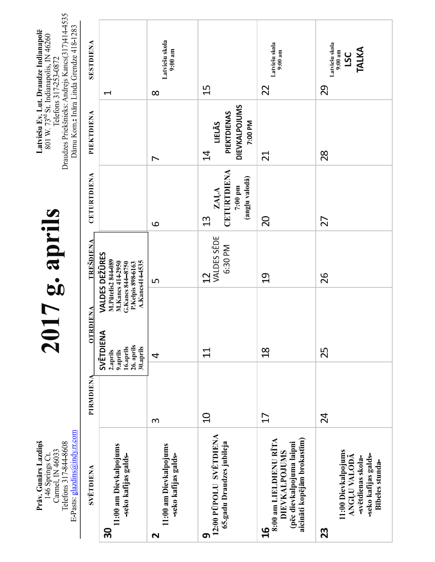| E-Pasts: glazdins@indy.rr.com<br>Prāv. Gunārs Lazdiņš<br>Telefons 317-844-8608<br>Carmel, IN 46033<br>146 Springs Ct            |           |                                                                           | 17g. aprils                                                                                                                 |                                                                    |                                                                            | Draudzes Priekšnieks: Andrejs Kancs(317)414-4535<br>Dāmu Kom.: Ināra Linda Grendze 418-1283<br>Latviešu Ev. Lut. Draudze Indianapolē<br>801 W. 73 <sup>rd</sup> St. Indianapolis, IN 46260<br>Telefons 317-253-0872 |
|---------------------------------------------------------------------------------------------------------------------------------|-----------|---------------------------------------------------------------------------|-----------------------------------------------------------------------------------------------------------------------------|--------------------------------------------------------------------|----------------------------------------------------------------------------|---------------------------------------------------------------------------------------------------------------------------------------------------------------------------------------------------------------------|
| <b>SVETDIENA</b>                                                                                                                | PIRMDIENA | <b>OTRDIENA</b>                                                           | <b>TREŠDIENA</b>                                                                                                            | CETURTDIENA                                                        | PIEKTDIENA                                                                 | SESTDIENA                                                                                                                                                                                                           |
| 11:00 am Dievkalpojums<br>-seko kafijas galds-<br>႙                                                                             |           | SVĒTDIENA<br>26. aprils<br>16.aprils<br>30.aprils<br>2.aprils<br>9.aprils | <b>VALDES DEŽŪRES</b><br>M.Pūtelis2 844-089<br>A.Kancs414-4535<br>M.Kancs 414-2950<br>G.Kancs 844-8750<br>P.Kelpis 898-6163 |                                                                    |                                                                            | $\blacktriangleleft$                                                                                                                                                                                                |
| 11:00 am Dievkalpojums<br>-seko kafijas galds-<br>$\mathbf{\Omega}$                                                             | $\infty$  | 4                                                                         | Б                                                                                                                           | 9                                                                  | $\overline{ }$                                                             | Latviešu skola<br>$9:00$ am<br>$\infty$                                                                                                                                                                             |
| 12:00 PUPOLU SVĒTDIENA<br>65.gadu Draudzes jubileja<br>6                                                                        | $\Omega$  | $\overline{11}$                                                           | VALDES SEDE<br>6:30 PM<br>$\frac{1}{2}$                                                                                     | CETURTDIENA<br>(angļu valodā)<br>7:00 pm<br>ZAĻA<br>$\mathfrak{U}$ | <b>DIEVKALPOJUMS</b><br>PIEKTDIENAS<br>7:00 PM<br>LIELĀS<br>$\overline{4}$ | 15                                                                                                                                                                                                                  |
| aicināti kopējām brokastīm)<br>8:00 am LIELDIENU RĪTA<br>(pēc dievkalpojuma laipni<br>DIEVKALPOJUMS<br>$\overline{\mathbf{16}}$ | 17        | $\frac{8}{10}$                                                            | $\frac{0}{1}$                                                                                                               | 20                                                                 | $\overline{21}$                                                            | Latviešu skola<br>$9:00$ am<br>22                                                                                                                                                                                   |
| 11:00 Dievkalpojums<br>-seko kafijas galds-<br><b>ANGLU VALODĀ</b><br>-svētdienas skola-<br>Bībeles stunda-<br>23               | 24        | 25                                                                        | 26                                                                                                                          | 27                                                                 | 28                                                                         | Latviešu skola<br>TALKA<br>$9:00$ am<br><b>USC</b><br>29                                                                                                                                                            |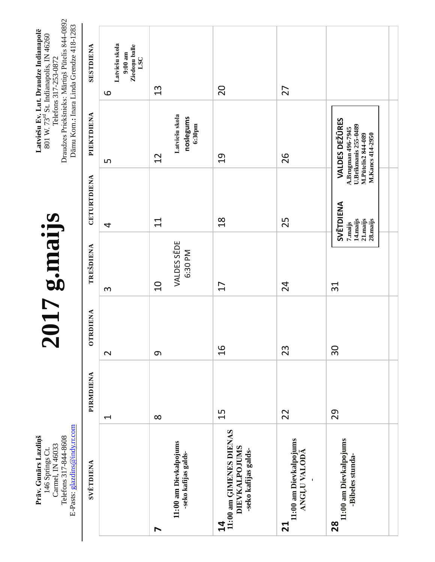| E-Pasts: glazdins@indy.rr.com<br>Prāv. Gunārs Lazdiņš<br>Telefons 317-844-8608<br>Carmel, IN 46033<br>146 Springs Ct. |                      |                    | <b>allem's</b> LO      |                                                           |                                                                                                                             | Draudzes Priekšnieks: Mārtiņš Pūtelis 844-0892<br>Dāmu Kom.: Inara Linda Grendze 418-1283<br>Latviešu Ev. Lut. Draudze Indianapolē<br>801 W. 73rd St. Indianapolis, IN 46260<br>Telefons 317-253-0872 |
|-----------------------------------------------------------------------------------------------------------------------|----------------------|--------------------|------------------------|-----------------------------------------------------------|-----------------------------------------------------------------------------------------------------------------------------|-------------------------------------------------------------------------------------------------------------------------------------------------------------------------------------------------------|
| <b>SVETDIENA</b>                                                                                                      | PIRMDIENA            | <b>RDIENA</b><br>5 | TREŠDIENA              | CETURTDIENA                                               | PIEKTDIENA                                                                                                                  | SESTDIENA                                                                                                                                                                                             |
|                                                                                                                       | $\blacktriangleleft$ | $\mathbf{\Omega}$  | S                      | 4                                                         | S                                                                                                                           | Latviešu skola<br>Ziedoņu balle<br>$9:00$ am<br>LSC<br>9                                                                                                                                              |
| $\blacktriangleright$                                                                                                 | $\infty$             | $\sigma$           | $\overline{C}$         | $\Xi$                                                     | 12                                                                                                                          | 13                                                                                                                                                                                                    |
| 11:00 am Dievkalpojums<br>-seko kafijas galds-                                                                        |                      |                    | VALDES SEDE<br>6:30 PM |                                                           | Latviešu skola<br>noslegums<br>6:30 <sub>pm</sub>                                                                           |                                                                                                                                                                                                       |
| 11:00 am GIMENES DIENAS<br><b>DIEVKALPOJUMS</b><br>-seko kafijas galds-<br>$\mathbf{z}$                               | 15                   | $\frac{1}{6}$      | 17                     | $\frac{8}{1}$                                             | $\overline{c}$                                                                                                              | 20                                                                                                                                                                                                    |
| 11:00 am Dievkalpojums<br><b>ANGLU VALODA</b><br><u>ក</u>                                                             | 22                   | 23                 | 24                     | 25                                                        | 26                                                                                                                          | 27                                                                                                                                                                                                    |
| 11:00 am Dievkalpojums<br>-Bibeles stunda-<br>$\frac{8}{2}$                                                           | 29                   | 30                 | 31                     | SVĒTDIENA<br>21.maijs<br>14.maijs<br>28. maijs<br>7.maijs | <b>VALDES DEŽŪRES</b><br><b>U.Brikmanis 255-0489</b><br><b>A.Brugman 496-7945</b><br>M.Kancs 414-2950<br>M.Pūtelis2 844-089 |                                                                                                                                                                                                       |
|                                                                                                                       |                      |                    |                        |                                                           |                                                                                                                             |                                                                                                                                                                                                       |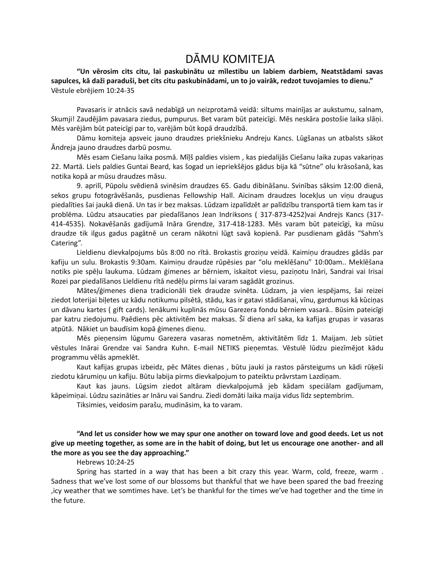# DĀMU KOMITEJA

"Un vērosim cits citu, lai paskubinātu uz mīlestibu un labiem darbiem, Neatstādami savas sapulces, kā daži paraduši, bet cits citu paskubinādami, un to jo vairāk, redzot tuvojamies to dienu." Vēstule ebrējiem 10:24-35

Pavasaris ir atnācis savā nedabīgā un neizprotamā veidā: siltums mainījas ar aukstumu, salnam, Skumji! Zaudējām pavasara ziedus, pumpurus. Bet varam būt pateicīgi. Mēs neskāra postošie laika slāņi. Mēs varējām būt pateicīgi par to, varējām būt kopā draudzībā.

Dāmu komiteja apsveic jauno draudzes priekšnieku Andreju Kancs. Lūgšanas un atbalsts sākot Āndreja jauno draudzes darbū posmu.

Mēs esam Ciešanu laika posmā. Mīļš paldies visiem, kas piedalijās Ciešanu laika zupas vakariņas 22. Martā. Liels paldies Guntai Beard, kas šogad un iepriekšējos gādus bija kā "sūtne" olu krāsošanā, kas notika kopā ar mūsu draudzes māsu.

9. aprilī, Pūpolu svēdienā svinēsim draudzes 65. Gadu dibināšanu. Svinības sāksim 12:00 dienā, sekos grupu fotogrāvēšanās, pusdienas Fellowship Hall. Aicinam draudzes locekļus un viņu draugus piedalīties šai jaukā dienā. Un tas ir bez maksas. Lūdzam izpalīdzēt ar palīdzību transportā tiem kam tas ir problēma. Lūdzu atsaucaties par piedalīšanos Jean Indriksons (317-873-4252)vai Andrejs Kancs (317-414-4535). Nokavēšanās gadījumā Ināra Grendze, 317-418-1283. Mēs varam būt pateicīgi, ka mūsu draudze tik ilgus gadus pagātnē un ceram nākotni lūgt savā kopienā. Par pusdienam gādās "Sahm's Catering".

Lieldienu dievkalpojums būs 8:00 no rītā. Brokastis groziņu veidā. Kaimiņu draudzes gādās par kafiju un sulu. Brokastis 9:30am. Kaimiņu draudze rūpēsies par "olu meklēšanu" 10:00am.. Meklēšana notiks pie spēļu laukuma. Lūdzam ģimenes ar bērniem, iskaitot viesu, paziņotu Ināri, Sandrai vai Irisai Rozei par piedalīšanos Lieldienu rītā nedēļu pirms lai varam sagādāt grozinus.

Mātes/ģimenes diena tradicionāli tiek draudze svinēta. Lūdzam, ja vien iespējams, šai reizei ziedot loterijai biļetes uz kādu notikumu pilsētā, stādu, kas ir gatavi stādišanai, vīnu, gardumus kā kūciņas un dāvanu kartes (gift cards). Ienākumi kuplinās mūsu Garezera fondu bērniem vasarā.. Būsim pateicīgi par katru ziedojumu. Paēdiens pēc aktivitēm bez maksas. Šī diena arī saka, ka kafijas grupas ir vasaras atpūtā. Nākiet un baudīsim kopā ģimenes dienu.

Mēs pieņensim lūgumu Garezera vasaras nometnēm, aktivitātēm līdz 1. Maijam. Jeb sūtiet vēstules Inārai Grendze vai Sandra Kuhn. E-mail NETIKS pieņemtas. Vēstulē lūdzu piezīmējot kādu programmu vēlās apmeklēt.

Kaut kafijas grupas izbeidz, pēc Mātes dienas, būtu jauki ja rastos pārsteigums un kādi rūķeši ziedotu kārumiņu un kafiju. Būtu labija pirms dievkalpojum to pateiktu prāvrstam Lazdiņam.

Kaut kas jauns. Lūgsim ziedot altāram dievkalpojumā jeb kādam speciālam gadījumam, kāpeimiņai. Lūdzu sazināties ar Ināru vai Sandru. Ziedi domāti laika maija vidus līdz septembrim.

Tiksimies, veidosim parašu, mudināsim, ka to varam.

"And let us consider how we may spur one another on toward love and good deeds. Let us not give up meeting together, as some are in the habit of doing, but let us encourage one another- and all the more as you see the day approaching."

#### Hebrews 10:24-25

Spring has started in a way that has been a bit crazy this year. Warm, cold, freeze, warm. Sadness that we've lost some of our blossoms but thankful that we have been spared the bad freezing icy weather that we somtimes have. Let's be thankful for the times we've had together and the time in, the future.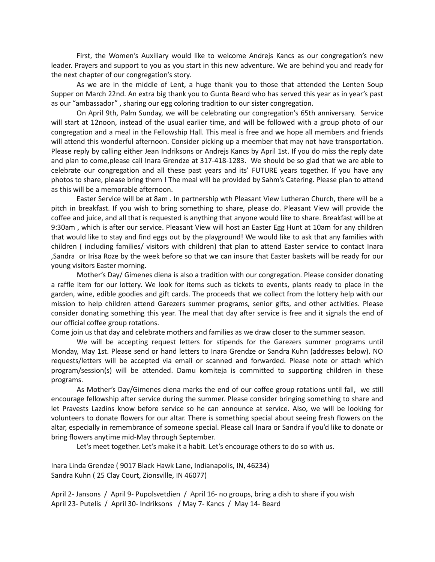First, the Women's Auxiliary would like to welcome Andrejs Kancs as our congregation's new leader. Prayers and support to you as you start in this new adventure. We are behind you and ready for the next chapter of our congregation's story.

As we are in the middle of Lent, a huge thank you to those that attended the Lenten Soup Supper on March 22nd. An extra big thank you to Gunta Beard who has served this year as in year's past as our "ambassador", sharing our egg coloring tradition to our sister congregation.

On April 9th, Palm Sunday, we will be celebrating our congregation's 65th anniversary. Service will start at 12noon, instead of the usual earlier time, and will be followed with a group photo of our congregation and a meal in the Fellowship Hall. This meal is free and we hope all members and friends will attend this wonderful afternoon. Consider picking up a meember that may not have transportation. Please reply by calling either Jean Indriksons or Andrejs Kancs by April 1st. If you do miss the reply date and plan to come, please call lnara Grendze at 317-418-1283. We should be so glad that we are able to celebrate our congregation and all these past years and its' FUTURE years together. If you have any photos to share, please bring them ! The meal will be provided by Sahm's Catering. Please plan to attend as this will be a memorable afternoon.

Easter Service will be at 8am. In partnership wth Pleasant View Lutheran Church, there will be a pitch in breakfast. If you wish to bring something to share, please do. Pleasant View will provide the coffee and juice, and all that is requested is anything that anyone would like to share. Breakfast will be at 9:30am, which is after our service. Pleasant View will host an Easter Egg Hunt at 10am for any children that would like to stay and find eggs out by the playground! We would like to ask that any families with children (including families/visitors with children) that plan to attend Easter service to contact Inara Sandra or Irisa Roze by the week before so that we can insure that Easter baskets will be ready for our, young visitors Easter morning.

Mother's Day/ Gimenes diena is also a tradition with our congregation. Please consider donating a raffle item for our lottery. We look for items such as tickets to events, plants ready to place in the garden, wine, edible goodies and gift cards. The proceeds that we collect from the lottery help with our mission to help children attend Garezers summer programs, senior gifts, and other activities. Please consider donating something this year. The meal that day after service is free and it signals the end of our official coffee group rotations.

Come join us that day and celebrate mothers and families as we draw closer to the summer season.

We will be accepting request letters for stipends for the Garezers summer programs until Monday, May 1st. Please send or hand letters to Inara Grendze or Sandra Kuhn (addresses below). NO requests/letters will be accepted via email or scanned and forwarded. Please note or attach which program/session(s) will be attended. Damu komiteja is committed to supporting children in these programs.

As Mother's Day/Gimenes diena marks the end of our coffee group rotations until fall, we still encourage fellowship after service during the summer. Please consider bringing something to share and let Pravests Lazdins know before service so he can announce at service. Also, we will be looking for volunteers to donate flowers for our altar. There is something special about seeing fresh flowers on the altar, especially in remembrance of someone special. Please call Inara or Sandra if you'd like to donate or bring flowers anytime mid-May through September.

Let's meet together. Let's make it a habit. Let's encourage others to do so with us.

Inara Linda Grendze (9017 Black Hawk Lane, Indianapolis, IN, 46234) Sandra Kuhn (25 Clay Court, Zionsville, IN 46077)

April 2- Jansons / April 9- Pupolsvetdien / April 16- no groups, bring a dish to share if you wish April 23- Putelis / April 30- Indriksons / May 7- Kancs / May 14- Beard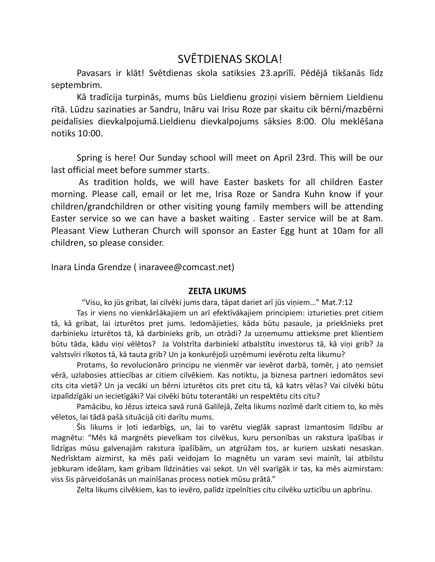# SVĒTDIENAS SKOLA!

Pavasars ir klāt! Svētdienas skola satiksies 23.aprīlī. Pēdējā tikšanās līdz septembrim.

Kā tradīcija turpinās, mums būs Lieldienu groziņi visiem bērniem Lieldienu rītā. Lūdzu sazinaties ar Sandru, Ināru vai Irisu Roze par skaitu cik bērni/mazbērni peidalīsies dievkalpojumā. Lieldienu dievkalpojums sāksies 8:00. Olu meklēšana notiks 10:00.

Spring is here! Our Sunday school will meet on April 23rd. This will be our last official meet before summer starts.

As tradition holds, we will have Easter baskets for all children Easter morning. Please call, email or let me, Irisa Roze or Sandra Kuhn know if your children/grandchildren or other visiting young family members will be attending Easter service so we can have a basket waiting. Easter service will be at 8am. Pleasant View Lutheran Church will sponsor an Easter Egg hunt at 10am for all children, so please consider.

Inara Linda Grendze (inaravee@comcast.net)

## **ZELTA LIKUMS**

"Visu, ko jūs gribat, lai cilvēki jums dara, tāpat dariet arī jūs viņiem..." Mat.7:12

Tas ir viens no vienkāršākajiem un arī efektīvākajiem principiem: izturieties pret citiem tā, kā gribat, lai izturētos pret jums. Iedomājieties, kāda būtu pasaule, ja priekšnieks pret darbinieku izturētos tā, kā darbinieks grib, un otrādi? Ja uzņemumu attieksme pret klientiem būtu tāda, kādu viņi vēlētos? Ja Volstrīta darbinieki atbalstītu investorus tā, kā viņi grib? Ja valstsvīri rīkotos tā, kā tauta grib? Un ja konkurējoši uzņēmumi ievērotu zelta likumu?

Protams, šo revolucionāro principu ne vienmēr var ievērot darbā, tomēr, j ato nemsiet vērā, uzlabosies attiecības ar citiem cilvēkiem. Kas notiktu, ja biznesa partneri iedomātos sevi cits cita vietā? Un ja vecāki un bērni izturētos cits pret citu tā, kā katrs vēlas? Vai cilvēki būtu izpalīdzīgāki un iecietīgāki? Vai cilvēki būtu toterantāki un respektētu cits citu?

Pamācibu, ko Jēzus izteica savā runā Galilejā, Zelta likums nozīmē darīt citiem to, ko mēs vēletos, lai tādā pašā situācijā citi darītu mums.

Šis likums ir ļoti iedarbīgs, un, lai to varētu vieglāk saprast izmantosim līdzību ar magnētu: "Mēs kā margnēts pievelkam tos cilvēkus, kuru personības un rakstura īpašības ir līdzīgas mūsu galvenajām rakstura īpašībām, un atgrūžam tos, ar kuriem uzskati nesaskan. Nedrīsktam aizmirst, ka mēs paši veidojam šo magnētu un varam sevi mainīt, lai atbilstu jebkuram ideālam, kam gribam līdzināties vai sekot. Un vēl svarīgāk ir tas, ka mēs aizmirstam: viss šis pārveidošanās un mainīšanas process notiek mūsu prātā."

Zelta likums cilvēkiem, kas to ievēro, palīdz izpelnīties citu cilvēku uzticību un apbrīnu.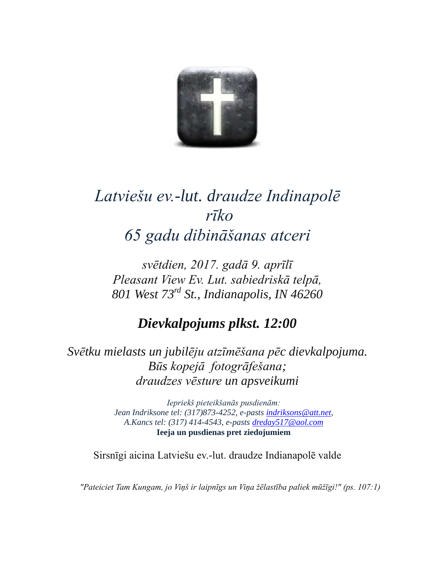

# Latviešu ev -lut. draudze Indinapolē  $r\bar{1}ko$ 65 gadu dibināšanas atceri

svētdien, 2017. gadā 9. aprīlī Pleasant View Ev. Lut. sabiedriskā telpā, 801 West 73rd St., Indianapolis, IN 46260

Dievkalpojums plkst. 12:00

Svētku mielasts un jubilēju atzīmēšana pēc dievkalpojuma. Būs kopejā fotogrāfešana; draudzes vēsture un apsveikumi

> Iepriekš pieteikšanās pusdienām: Jean Indriksone tel: (317)873-4252, e-pasts indriksons@att.net, A. Kancs tel: (317) 414-4543, e-pasts dreday517@aol.com Ieeja un pusdienas pret ziedojumiem

Sirsnīgi aicina Latviešu ev.-lut. draudze Indianapolē valde

"Pateiciet Tam Kungam, jo Viņš ir laipnīgs un Viņa žēlastība paliek mūžīgi!" (ps. 107:1)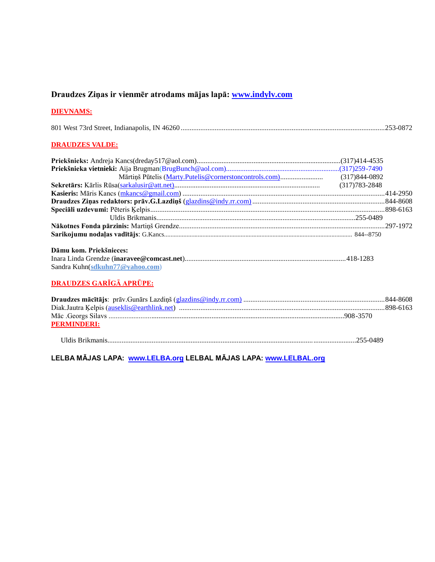## Draudzes Ziņas ir vienmēr atrodams mājas lapā: www.indylv.com

### **DIEVNAMS:**

|--|--|

## **DRAUDZES VALDE:**

## Dāmu kom. Priekšnieces:

| Sandra Kuhn(sdkuhn77@yahoo.com) |  |
|---------------------------------|--|

## DRAUDZES GARĪGĀ APRŪPE:

| <b>PERMINDERI:</b> |  |
|--------------------|--|
|                    |  |

Uldis Brikmanis............................................................................................................................................255-0489

LELBA MĀJAS LAPA: www.LELBA.org LELBAL MĀJAS LAPA: www.LELBAL.org